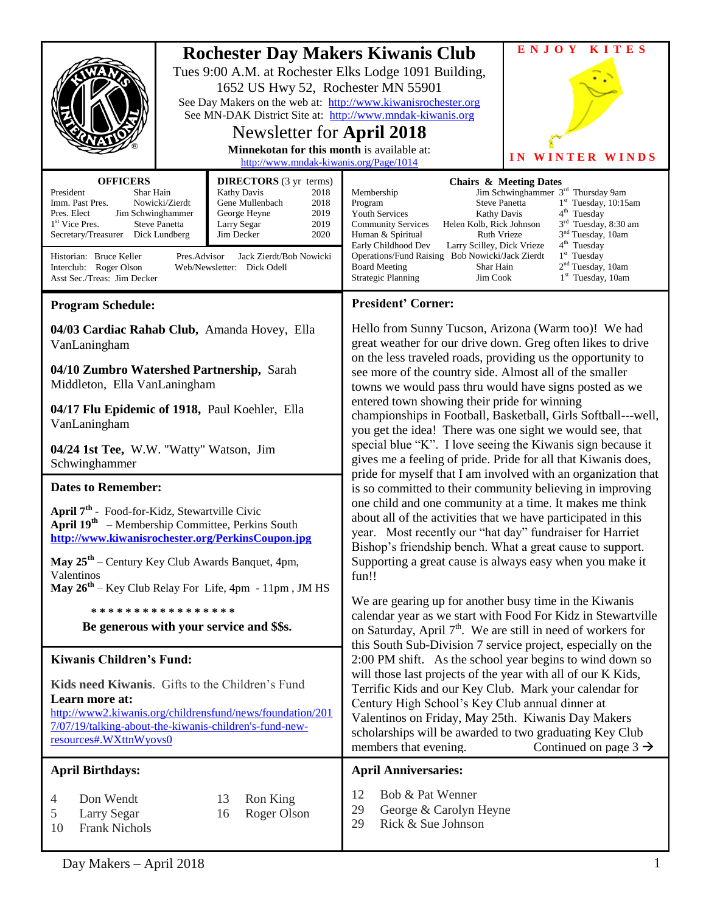| <b>OFFICERS</b><br>President<br>Imm. Past Pres.<br>Pres. Elect<br>1 <sup>st</sup> Vice Pres.                                                                                                                                                                                                                     | <b>Rochester Day Makers Kiwanis Club</b><br>Tues 9:00 A.M. at Rochester Elks Lodge 1091 Building,<br>1652 US Hwy 52, Rochester MN 55901<br>See Day Makers on the web at: http://www.kiwanisrochester.org<br>See MN-DAK District Site at: http://www.mndak-kiwanis.org<br>Newsletter for April 2018<br>Minnekotan for this month is available at:<br>http://www.mndak-kiwanis.org/Page/1014<br><b>DIRECTORS</b> (3 yr terms)<br>Shar Hain<br><b>Kathy Davis</b><br>2018<br>Gene Mullenbach<br>Nowicki/Zierdt<br>2018<br>2019<br>Jim Schwinghammer<br>George Heyne<br><b>Steve Panetta</b><br>Larry Segar<br>2019 |                                                                                                                                                                                                                        | Membership<br>Steve Panetta<br>Program<br><b>Youth Services</b><br>Kathy Davis<br><b>Community Services</b><br>Helen Kolb, Rick Johnson                                                                                                                                                                                                                                                                                                                                                                                                                                                                                                                                                                                                                                                                                                                                                                                                                                                                                                                                                                                                                                                                                                                                                                                                                                                                                                                                                                                                                                                                                                                                                                                                                          | <b>ENJOY</b><br><b>KITES</b><br>IN WINTER WINDS<br><b>Chairs &amp; Meeting Dates</b><br>Jim Schwinghammer 3 <sup>rd</sup> Thursday 9am<br>$1st$ Tuesday, 10:15am<br>4 <sup>th</sup> Tuesday<br>3 <sup>rd</sup> Tuesday, 8:30 am |
|------------------------------------------------------------------------------------------------------------------------------------------------------------------------------------------------------------------------------------------------------------------------------------------------------------------|-----------------------------------------------------------------------------------------------------------------------------------------------------------------------------------------------------------------------------------------------------------------------------------------------------------------------------------------------------------------------------------------------------------------------------------------------------------------------------------------------------------------------------------------------------------------------------------------------------------------|------------------------------------------------------------------------------------------------------------------------------------------------------------------------------------------------------------------------|------------------------------------------------------------------------------------------------------------------------------------------------------------------------------------------------------------------------------------------------------------------------------------------------------------------------------------------------------------------------------------------------------------------------------------------------------------------------------------------------------------------------------------------------------------------------------------------------------------------------------------------------------------------------------------------------------------------------------------------------------------------------------------------------------------------------------------------------------------------------------------------------------------------------------------------------------------------------------------------------------------------------------------------------------------------------------------------------------------------------------------------------------------------------------------------------------------------------------------------------------------------------------------------------------------------------------------------------------------------------------------------------------------------------------------------------------------------------------------------------------------------------------------------------------------------------------------------------------------------------------------------------------------------------------------------------------------------------------------------------------------------|---------------------------------------------------------------------------------------------------------------------------------------------------------------------------------------------------------------------------------|
| 2020<br>Secretary/Treasurer Dick Lundberg<br>Jim Decker<br>Jack Zierdt/Bob Nowicki<br>Historian: Bruce Keller<br>Pres.Advisor<br>Interclub: Roger Olson<br>Web/Newsletter: Dick Odell<br>Asst Sec./Treas: Jim Decker                                                                                             |                                                                                                                                                                                                                                                                                                                                                                                                                                                                                                                                                                                                                 | Ruth Vrieze<br>Human & Spiritual<br>Early Childhood Dev<br>Larry Scilley, Dick Vrieze<br>Operations/Fund Raising Bob Nowicki/Jack Zierdt<br><b>Board Meeting</b><br>Shar Hain<br><b>Strategic Planning</b><br>Jim Cook | 3 <sup>nd</sup> Tuesday, 10am<br>4 <sup>th</sup> Tuesday<br>$1st$ Tuesday<br>$2nd$ Tuesday, 10am<br>1 <sup>st</sup> Tuesday, 10am                                                                                                                                                                                                                                                                                                                                                                                                                                                                                                                                                                                                                                                                                                                                                                                                                                                                                                                                                                                                                                                                                                                                                                                                                                                                                                                                                                                                                                                                                                                                                                                                                                |                                                                                                                                                                                                                                 |
| <b>Program Schedule:</b>                                                                                                                                                                                                                                                                                         |                                                                                                                                                                                                                                                                                                                                                                                                                                                                                                                                                                                                                 |                                                                                                                                                                                                                        | <b>President' Corner:</b>                                                                                                                                                                                                                                                                                                                                                                                                                                                                                                                                                                                                                                                                                                                                                                                                                                                                                                                                                                                                                                                                                                                                                                                                                                                                                                                                                                                                                                                                                                                                                                                                                                                                                                                                        |                                                                                                                                                                                                                                 |
| 04/03 Cardiac Rahab Club, Amanda Hovey, Ella<br>VanLaningham                                                                                                                                                                                                                                                     |                                                                                                                                                                                                                                                                                                                                                                                                                                                                                                                                                                                                                 |                                                                                                                                                                                                                        | Hello from Sunny Tucson, Arizona (Warm too)! We had<br>great weather for our drive down. Greg often likes to drive<br>on the less traveled roads, providing us the opportunity to<br>see more of the country side. Almost all of the smaller<br>towns we would pass thru would have signs posted as we<br>entered town showing their pride for winning<br>championships in Football, Basketball, Girls Softball---well,<br>you get the idea! There was one sight we would see, that<br>special blue "K". I love seeing the Kiwanis sign because it<br>gives me a feeling of pride. Pride for all that Kiwanis does,<br>pride for myself that I am involved with an organization that<br>is so committed to their community believing in improving<br>one child and one community at a time. It makes me think<br>about all of the activities that we have participated in this<br>year. Most recently our "hat day" fundraiser for Harriet<br>Bishop's friendship bench. What a great cause to support.<br>Supporting a great cause is always easy when you make it<br>fun!!<br>We are gearing up for another busy time in the Kiwanis<br>calendar year as we start with Food For Kidz in Stewartville<br>on Saturday, April $7th$ . We are still in need of workers for<br>this South Sub-Division 7 service project, especially on the<br>2:00 PM shift. As the school year begins to wind down so<br>will those last projects of the year with all of our K Kids,<br>Terrific Kids and our Key Club. Mark your calendar for<br>Century High School's Key Club annual dinner at<br>Valentinos on Friday, May 25th. Kiwanis Day Makers<br>scholarships will be awarded to two graduating Key Club<br>members that evening.<br>Continued on page $3 \rightarrow$ |                                                                                                                                                                                                                                 |
| 04/10 Zumbro Watershed Partnership, Sarah<br>Middleton, Ella VanLaningham                                                                                                                                                                                                                                        |                                                                                                                                                                                                                                                                                                                                                                                                                                                                                                                                                                                                                 |                                                                                                                                                                                                                        |                                                                                                                                                                                                                                                                                                                                                                                                                                                                                                                                                                                                                                                                                                                                                                                                                                                                                                                                                                                                                                                                                                                                                                                                                                                                                                                                                                                                                                                                                                                                                                                                                                                                                                                                                                  |                                                                                                                                                                                                                                 |
| 04/17 Flu Epidemic of 1918, Paul Koehler, Ella<br>VanLaningham                                                                                                                                                                                                                                                   |                                                                                                                                                                                                                                                                                                                                                                                                                                                                                                                                                                                                                 |                                                                                                                                                                                                                        |                                                                                                                                                                                                                                                                                                                                                                                                                                                                                                                                                                                                                                                                                                                                                                                                                                                                                                                                                                                                                                                                                                                                                                                                                                                                                                                                                                                                                                                                                                                                                                                                                                                                                                                                                                  |                                                                                                                                                                                                                                 |
| 04/24 1st Tee, W.W. "Watty" Watson, Jim<br>Schwinghammer                                                                                                                                                                                                                                                         |                                                                                                                                                                                                                                                                                                                                                                                                                                                                                                                                                                                                                 |                                                                                                                                                                                                                        |                                                                                                                                                                                                                                                                                                                                                                                                                                                                                                                                                                                                                                                                                                                                                                                                                                                                                                                                                                                                                                                                                                                                                                                                                                                                                                                                                                                                                                                                                                                                                                                                                                                                                                                                                                  |                                                                                                                                                                                                                                 |
| <b>Dates to Remember:</b>                                                                                                                                                                                                                                                                                        |                                                                                                                                                                                                                                                                                                                                                                                                                                                                                                                                                                                                                 |                                                                                                                                                                                                                        |                                                                                                                                                                                                                                                                                                                                                                                                                                                                                                                                                                                                                                                                                                                                                                                                                                                                                                                                                                                                                                                                                                                                                                                                                                                                                                                                                                                                                                                                                                                                                                                                                                                                                                                                                                  |                                                                                                                                                                                                                                 |
| April 7 <sup>th</sup> - Food-for-Kidz, Stewartville Civic<br>April $19^{th}$ – Membership Committee, Perkins South<br>http://www.kiwanisrochester.org/PerkinsCoupon.jpg<br>May $25th$ – Century Key Club Awards Banquet, 4pm,<br>Valentinos<br>May 26 <sup>th</sup> – Key Club Relay For Life, 4pm - 11pm, JM HS |                                                                                                                                                                                                                                                                                                                                                                                                                                                                                                                                                                                                                 |                                                                                                                                                                                                                        |                                                                                                                                                                                                                                                                                                                                                                                                                                                                                                                                                                                                                                                                                                                                                                                                                                                                                                                                                                                                                                                                                                                                                                                                                                                                                                                                                                                                                                                                                                                                                                                                                                                                                                                                                                  |                                                                                                                                                                                                                                 |
| * * * * * * * * * * * * * * * * *<br>Be generous with your service and \$\$s.                                                                                                                                                                                                                                    |                                                                                                                                                                                                                                                                                                                                                                                                                                                                                                                                                                                                                 |                                                                                                                                                                                                                        |                                                                                                                                                                                                                                                                                                                                                                                                                                                                                                                                                                                                                                                                                                                                                                                                                                                                                                                                                                                                                                                                                                                                                                                                                                                                                                                                                                                                                                                                                                                                                                                                                                                                                                                                                                  |                                                                                                                                                                                                                                 |
| <b>Kiwanis Children's Fund:</b>                                                                                                                                                                                                                                                                                  |                                                                                                                                                                                                                                                                                                                                                                                                                                                                                                                                                                                                                 |                                                                                                                                                                                                                        |                                                                                                                                                                                                                                                                                                                                                                                                                                                                                                                                                                                                                                                                                                                                                                                                                                                                                                                                                                                                                                                                                                                                                                                                                                                                                                                                                                                                                                                                                                                                                                                                                                                                                                                                                                  |                                                                                                                                                                                                                                 |
| Kids need Kiwanis. Gifts to the Children's Fund<br>Learn more at:<br>http://www2.kiwanis.org/childrensfund/news/foundation/201<br>7/07/19/talking-about-the-kiwanis-children's-fund-new-<br>resources#.WXttnWyovs0                                                                                               |                                                                                                                                                                                                                                                                                                                                                                                                                                                                                                                                                                                                                 |                                                                                                                                                                                                                        |                                                                                                                                                                                                                                                                                                                                                                                                                                                                                                                                                                                                                                                                                                                                                                                                                                                                                                                                                                                                                                                                                                                                                                                                                                                                                                                                                                                                                                                                                                                                                                                                                                                                                                                                                                  |                                                                                                                                                                                                                                 |
| <b>April Birthdays:</b>                                                                                                                                                                                                                                                                                          |                                                                                                                                                                                                                                                                                                                                                                                                                                                                                                                                                                                                                 |                                                                                                                                                                                                                        | <b>April Anniversaries:</b>                                                                                                                                                                                                                                                                                                                                                                                                                                                                                                                                                                                                                                                                                                                                                                                                                                                                                                                                                                                                                                                                                                                                                                                                                                                                                                                                                                                                                                                                                                                                                                                                                                                                                                                                      |                                                                                                                                                                                                                                 |
| Don Wendt<br>Ron King<br>13<br>4<br>Roger Olson<br>Larry Segar<br>5<br>16<br><b>Frank Nichols</b><br>10                                                                                                                                                                                                          |                                                                                                                                                                                                                                                                                                                                                                                                                                                                                                                                                                                                                 |                                                                                                                                                                                                                        | Bob & Pat Wenner<br>12<br>29<br>George & Carolyn Heyne<br>Rick & Sue Johnson<br>29                                                                                                                                                                                                                                                                                                                                                                                                                                                                                                                                                                                                                                                                                                                                                                                                                                                                                                                                                                                                                                                                                                                                                                                                                                                                                                                                                                                                                                                                                                                                                                                                                                                                               |                                                                                                                                                                                                                                 |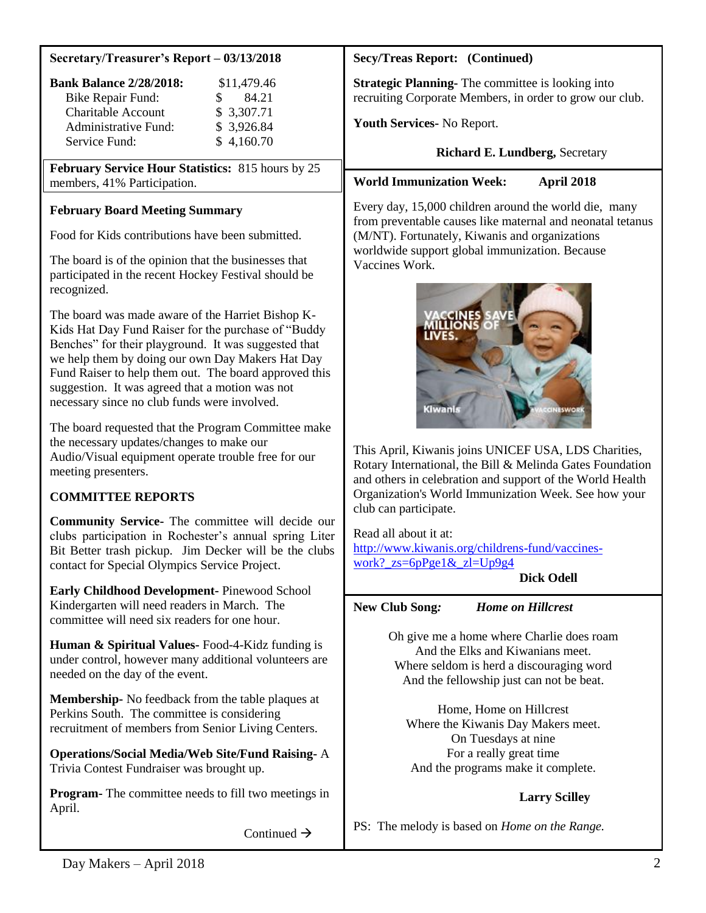#### **Secretary/Treasurer's Report – 03/13/2018**

| \$11,479.46 |  |
|-------------|--|
| 84.21<br>Ж. |  |
| \$3,307.71  |  |
| \$3,926.84  |  |
| \$4,160.70  |  |
|             |  |

**February Service Hour Statistics:** 815 hours by 25 members, 41% Participation.

# **February Board Meeting Summary**

Food for Kids contributions have been submitted.

The board is of the opinion that the businesses that participated in the recent Hockey Festival should be recognized.

The board was made aware of the Harriet Bishop K-Kids Hat Day Fund Raiser for the purchase of "Buddy Benches" for their playground. It was suggested that we help them by doing our own Day Makers Hat Day Fund Raiser to help them out. The board approved this suggestion. It was agreed that a motion was not necessary since no club funds were involved.

The board requested that the Program Committee make the necessary updates/changes to make our Audio/Visual equipment operate trouble free for our meeting presenters.

# **COMMITTEE REPORTS**

**Community Service-** The committee will decide our clubs participation in Rochester's annual spring Liter Bit Better trash pickup. Jim Decker will be the clubs contact for Special Olympics Service Project.

**Early Childhood Development-** Pinewood School Kindergarten will need readers in March. The committee will need six readers for one hour.

**Human & Spiritual Values-** Food-4-Kidz funding is under control, however many additional volunteers are needed on the day of the event.

**Membership-** No feedback from the table plaques at Perkins South. The committee is considering recruitment of members from Senior Living Centers.

**Operations/Social Media/Web Site/Fund Raising-** A Trivia Contest Fundraiser was brought up.

**Program-** The committee needs to fill two meetings in April.

Continued  $\rightarrow$ 

# **Secy/Treas Report: (Continued)**

**Strategic Planning-** The committee is looking into recruiting Corporate Members, in order to grow our club.

**Youth Services-** No Report.

**Richard E. Lundberg,** Secretary

**World Immunization Week: April 2018**

Every day, 15,000 children around the world die, many from preventable causes like maternal and neonatal tetanus (M/NT). Fortunately, Kiwanis and organizations worldwide support global immunization. Because Vaccines Work.



This April, Kiwanis joins UNICEF USA, LDS Charities, Rotary International, the Bill & Melinda Gates Foundation and others in celebration and support of the World Health Organization's World Immunization Week. See how your club can participate.

Read all about it at: [http://www.kiwanis.org/childrens-fund/vaccines](http://www.kiwanis.org/childrens-fund/vaccines-work?_zs=6pPge1&_zl=Up9g4)work?  $zs=6pPge1& zl=Up9g4$ 

**Dick Odell**

# **New Club Song***: Home on Hillcrest*

Oh give me a home where Charlie does roam And the Elks and Kiwanians meet. Where seldom is herd a discouraging word And the fellowship just can not be beat.

Home, Home on Hillcrest Where the Kiwanis Day Makers meet. On Tuesdays at nine For a really great time And the programs make it complete.

# **Larry Scilley**

PS: The melody is based on *Home on the Range.*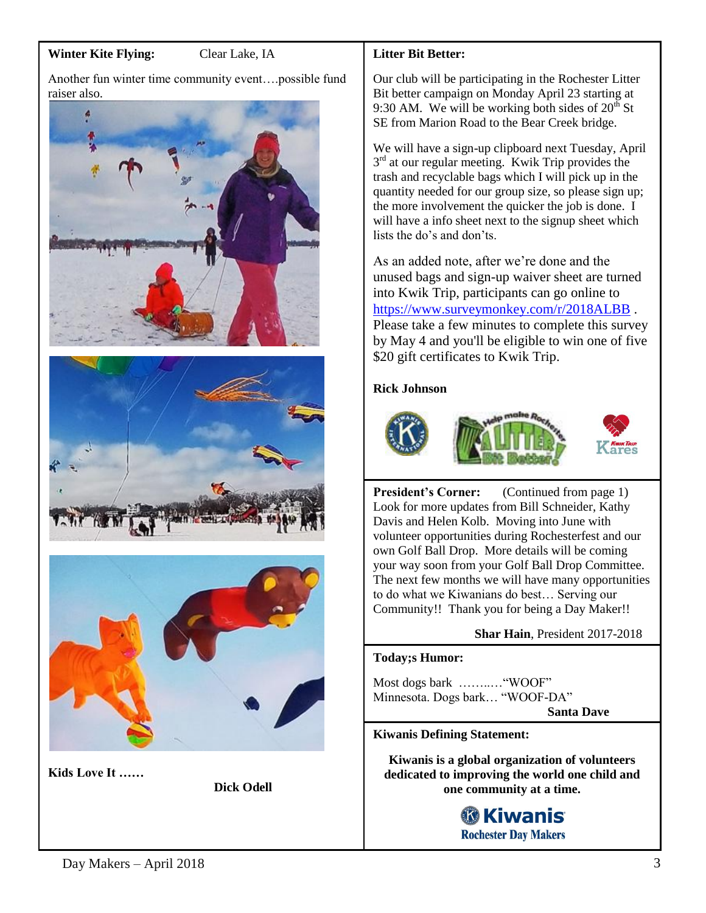# **Winter Kite Flying:** Clear Lake, IA

Another fun winter time community event….possible fund raiser also.







**Kids Love It ……** 

**Dick Odell**

### **Litter Bit Better:**

Our club will be participating in the Rochester Litter Bit better campaign on Monday April 23 starting at 9:30 AM. We will be working both sides of  $20<sup>th</sup>$  St SE from Marion Road to the Bear Creek bridge.

We will have a sign-up clipboard next Tuesday, April 3<sup>rd</sup> at our regular meeting. Kwik Trip provides the trash and recyclable bags which I will pick up in the quantity needed for our group size, so please sign up; the more involvement the quicker the job is done. I will have a info sheet next to the signup sheet which lists the do's and don'ts.

As an added note, after we're done and the unused bags and sign-up waiver sheet are turned into Kwik Trip, participants can go online to <https://www.surveymonkey.com/r/2018ALBB> . Please take a few minutes to complete this survey by May 4 and you'll be eligible to win one of five \$20 gift certificates to Kwik Trip.

#### **Rick Johnson**







**President's Corner:** (Continued from page 1) Look for more updates from Bill Schneider, Kathy Davis and Helen Kolb. Moving into June with volunteer opportunities during Rochesterfest and our own Golf Ball Drop. More details will be coming your way soon from your Golf Ball Drop Committee. The next few months we will have many opportunities to do what we Kiwanians do best… Serving our Community!! Thank you for being a Day Maker!!

#### **Shar Hain**, President 2017-2018

#### **Today;s Humor:**

Most dogs bark ……..…"WOOF" Minnesota. Dogs bark… "WOOF-DA"

 **Santa Dave**

#### **Kiwanis Defining Statement:**

**Kiwanis is a global organization of volunteers dedicated to improving the world one child and one community at a time.**

# **® Kiwanis Rochester Day Makers**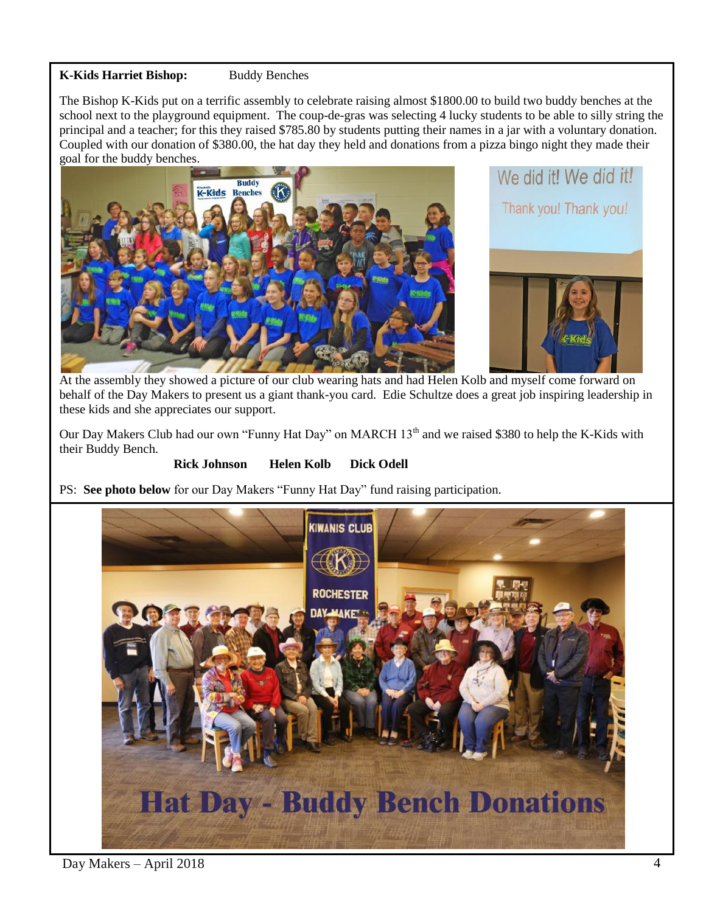# **K-Kids Harriet Bishop:** Buddy Benches

The Bishop K-Kids put on a terrific assembly to celebrate raising almost \$1800.00 to build two buddy benches at the school next to the playground equipment. The coup-de-gras was selecting 4 lucky students to be able to silly string the principal and a teacher; for this they raised \$785.80 by students putting their names in a jar with a voluntary donation. Coupled with our donation of \$380.00, the hat day they held and donations from a pizza bingo night they made their goal for the buddy benches.





At the assembly they showed a picture of our club wearing hats and had Helen Kolb and myself come forward on behalf of the Day Makers to present us a giant thank-you card. Edie Schultze does a great job inspiring leadership in these kids and she appreciates our support.

Our Day Makers Club had our own "Funny Hat Day" on MARCH 13<sup>th</sup> and we raised \$380 to help the K-Kids with their Buddy Bench.

#### **Rick Johnson Helen Kolb Dick Odell**

PS: **See photo below** for our Day Makers "Funny Hat Day" fund raising participation.



# Day Makers – April 2018 4